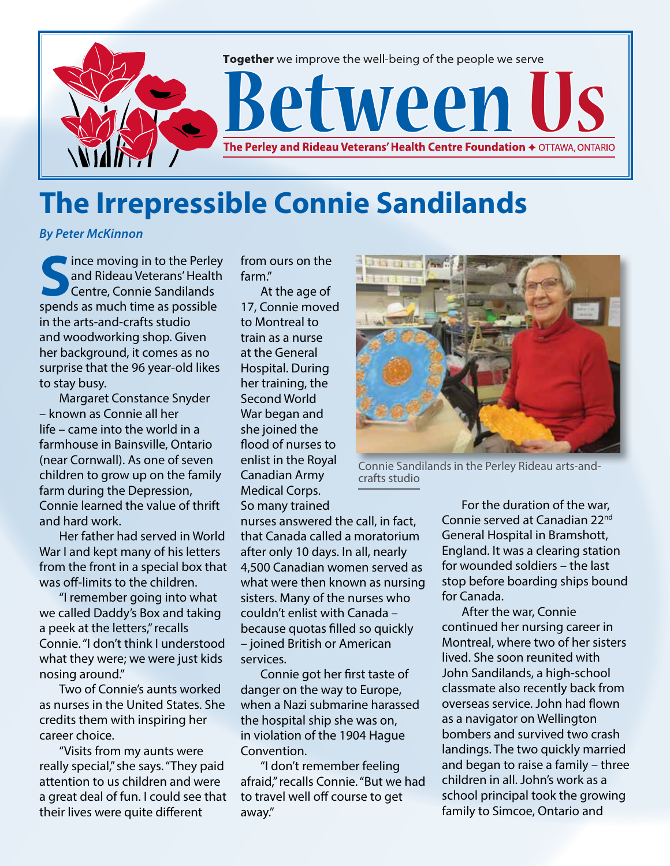

## **The Irrepressible Connie Sandilands**

*By Peter McKinnon*

**I** ince moving in to the Perley and Rideau Veterans' Health Centre, Connie Sandilands spends as much time as possible in the arts-and-crafts studio and woodworking shop. Given her background, it comes as no surprise that the 96 year-old likes to stay busy.

Margaret Constance Snyder – known as Connie all her life – came into the world in a farmhouse in Bainsville, Ontario (near Cornwall). As one of seven children to grow up on the family farm during the Depression, Connie learned the value of thrift and hard work.

Her father had served in World War I and kept many of his letters from the front in a special box that was off-limits to the children.

"I remember going into what we called Daddy's Box and taking a peek at the letters," recalls Connie. "I don't think I understood what they were; we were just kids nosing around."

Two of Connie's aunts worked as nurses in the United States. She credits them with inspiring her career choice.

"Visits from my aunts were really special," she says. "They paid attention to us children and were a great deal of fun. I could see that their lives were quite different

from ours on the farm."

At the age of 17, Connie moved to Montreal to train as a nurse at the General Hospital. During her training, the Second World War began and she joined the flood of nurses to enlist in the Royal Canadian Army Medical Corps. So many trained

nurses answered the call, in fact, that Canada called a moratorium after only 10 days. In all, nearly 4,500 Canadian women served as what were then known as nursing sisters. Many of the nurses who couldn't enlist with Canada – because quotas filled so quickly – joined British or American services.

Connie got her first taste of danger on the way to Europe, when a Nazi submarine harassed the hospital ship she was on, in violation of the 1904 Hague Convention.

"I don't remember feeling afraid," recalls Connie. "But we had to travel well off course to get away."



Connie Sandilands in the Perley Rideau arts-andcrafts studio

For the duration of the war, Connie served at Canadian 22nd General Hospital in Bramshott, England. It was a clearing station for wounded soldiers – the last stop before boarding ships bound for Canada.

After the war, Connie continued her nursing career in Montreal, where two of her sisters lived. She soon reunited with John Sandilands, a high-school classmate also recently back from overseas service. John had flown as a navigator on Wellington bombers and survived two crash landings. The two quickly married and began to raise a family – three children in all. John's work as a school principal took the growing family to Simcoe, Ontario and